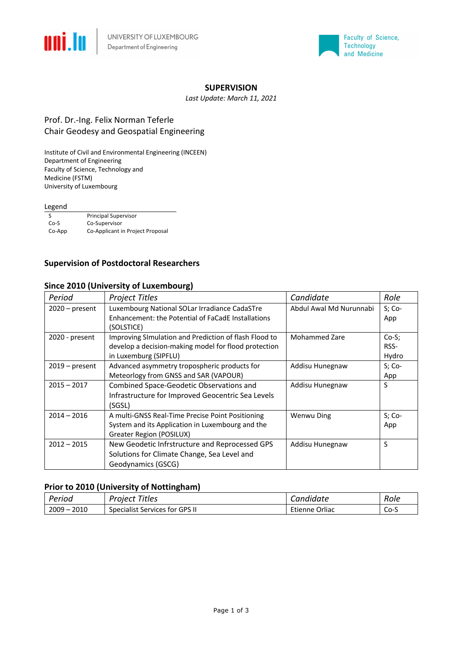



#### **SUPERVISION**

*Last Update: March 11, 2021*

### Prof. Dr.-Ing. Felix Norman Teferle Chair Geodesy and Geospatial Engineering

Institute of Civil and Environmental Engineering (INCEEN) Department of Engineering Faculty of Science, Technology and Medicine (FSTM) University of Luxembourg

#### Legend

|        | <b>Principal Supervisor</b>      |
|--------|----------------------------------|
| $Co-S$ | Co-Supervisor                    |
| Co-App | Co-Applicant in Project Proposal |
|        |                                  |

### **Supervision of Postdoctoral Researchers**

#### **Since 2010 (University of Luxembourg)**

| Period           | <b>Project Titles</b>                                                                                                                  | Candidate               | Role                    |
|------------------|----------------------------------------------------------------------------------------------------------------------------------------|-------------------------|-------------------------|
| $2020$ – present | Luxembourg National SOLar Irradiance CadaSTre<br>Enhancement: the Potential of FaCadE Installations<br>(SOLSTICE)                      | Abdul Awal Md Nurunnabi | $S; Co-$<br>App         |
| 2020 - present   | Improving SImulation and Prediction of flash Flood to<br>develop a decision-making model for flood protection<br>in Luxemburg (SIPFLU) | <b>Mohammed Zare</b>    | $Co-S$<br>RSS-<br>Hydro |
| $2019$ – present | Advanced asymmetry tropospheric products for<br>Meteorlogy from GNSS and SAR (VAPOUR)                                                  | Addisu Hunegnaw         | $S; Co-$<br>App         |
| $2015 - 2017$    | Combined Space-Geodetic Observations and<br>Infrastructure for Improved Geocentric Sea Levels<br>(SGSL)                                | Addisu Hunegnaw         | S                       |
| $2014 - 2016$    | A multi-GNSS Real-Time Precise Point Positioning<br>System and its Application in Luxembourg and the<br>Greater Region (POSILUX)       | <b>Wenwu Ding</b>       | $S; Co-$<br>App         |
| $2012 - 2015$    | New Geodetic Infrstructure and Reprocessed GPS<br>Solutions for Climate Change, Sea Level and<br>Geodynamics (GSCG)                    | Addisu Hunegnaw         | S                       |

### **Prior to 2010 (University of Nottingham)**

| Period           | Titles<br>Proiect              | Candidate      | Role |
|------------------|--------------------------------|----------------|------|
| 2010<br>$2009 -$ | Specialist Services for GPS II | Etienne Orliac | Co-S |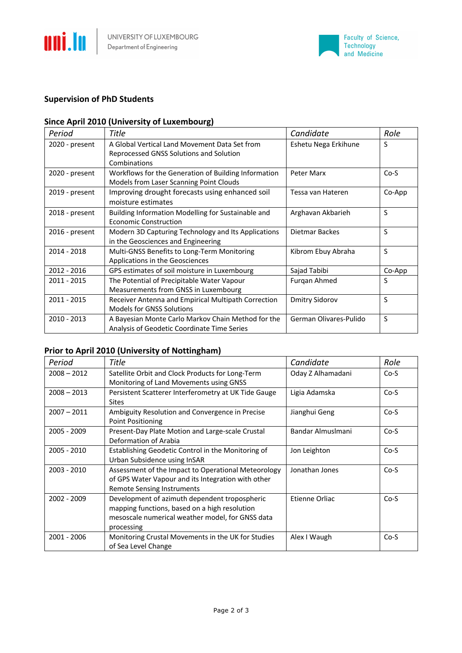



# **Supervision of PhD Students**

### **Since April 2010 (University of Luxembourg)**

| Period           | Title                                                                                    | Candidate              | Role   |
|------------------|------------------------------------------------------------------------------------------|------------------------|--------|
| 2020 - present   | A Global Vertical Land Movement Data Set from<br>Reprocessed GNSS Solutions and Solution | Eshetu Nega Erkihune   | S      |
|                  | Combinations                                                                             |                        |        |
| 2020 - present   | Workflows for the Generation of Building Information                                     | Peter Marx             | $Co-S$ |
|                  | Models from Laser Scanning Point Clouds                                                  |                        |        |
| 2019 - present   | Improving drought forecasts using enhanced soil                                          | Tessa van Hateren      | Co-App |
|                  | moisture estimates                                                                       |                        |        |
| $2018$ - present | Building Information Modelling for Sustainable and                                       | Arghavan Akbarieh      | S      |
|                  | Economic Construction                                                                    |                        |        |
| 2016 - present   | Modern 3D Capturing Technology and Its Applications                                      | Dietmar Backes         | S      |
|                  | in the Geosciences and Engineering                                                       |                        |        |
| 2014 - 2018      | Multi-GNSS Benefits to Long-Term Monitoring                                              | Kibrom Ebuy Abraha     | S      |
|                  | Applications in the Geosciences                                                          |                        |        |
| 2012 - 2016      | GPS estimates of soil moisture in Luxembourg                                             | Sajad Tabibi           | Co-App |
| 2011 - 2015      | The Potential of Precipitable Water Vapour                                               | Furgan Ahmed           | S      |
|                  | Measurements from GNSS in Luxembourg                                                     |                        |        |
| 2011 - 2015      | Receiver Antenna and Empirical Multipath Correction                                      | <b>Dmitry Sidorov</b>  | S      |
|                  | <b>Models for GNSS Solutions</b>                                                         |                        |        |
| 2010 - 2013      | A Bayesian Monte Carlo Markov Chain Method for the                                       | German Olivares-Pulido | S      |
|                  | Analysis of Geodetic Coordinate Time Series                                              |                        |        |

# **Prior to April 2010 (University of Nottingham)**

| Period        | Title                                                                                                                                                            | Candidate         | Role   |
|---------------|------------------------------------------------------------------------------------------------------------------------------------------------------------------|-------------------|--------|
| $2008 - 2012$ | Satellite Orbit and Clock Products for Long-Term<br>Monitoring of Land Movements using GNSS                                                                      | Oday Z Alhamadani | $Co-S$ |
| $2008 - 2013$ | Persistent Scatterer Interferometry at UK Tide Gauge<br><b>Sites</b>                                                                                             | Ligia Adamska     | $Co-S$ |
| $2007 - 2011$ | Ambiguity Resolution and Convergence in Precise<br><b>Point Positioning</b>                                                                                      | Jianghui Geng     | $Co-S$ |
| 2005 - 2009   | Present-Day Plate Motion and Large-scale Crustal<br>Deformation of Arabia                                                                                        | Bandar Almuslmani | $Co-S$ |
| 2005 - 2010   | Establishing Geodetic Control in the Monitoring of<br>Urban Subsidence using InSAR                                                                               | Jon Leighton      | $Co-S$ |
| 2003 - 2010   | Assessment of the Impact to Operational Meteorology<br>of GPS Water Vapour and its Integration with other<br>Remote Sensing Instruments                          | Jonathan Jones    | $Co-S$ |
| 2002 - 2009   | Development of azimuth dependent tropospheric<br>mapping functions, based on a high resolution<br>mesoscale numerical weather model, for GNSS data<br>processing | Etienne Orliac    | $Co-S$ |
| 2001 - 2006   | Monitoring Crustal Movements in the UK for Studies<br>of Sea Level Change                                                                                        | Alex I Waugh      | $Co-S$ |